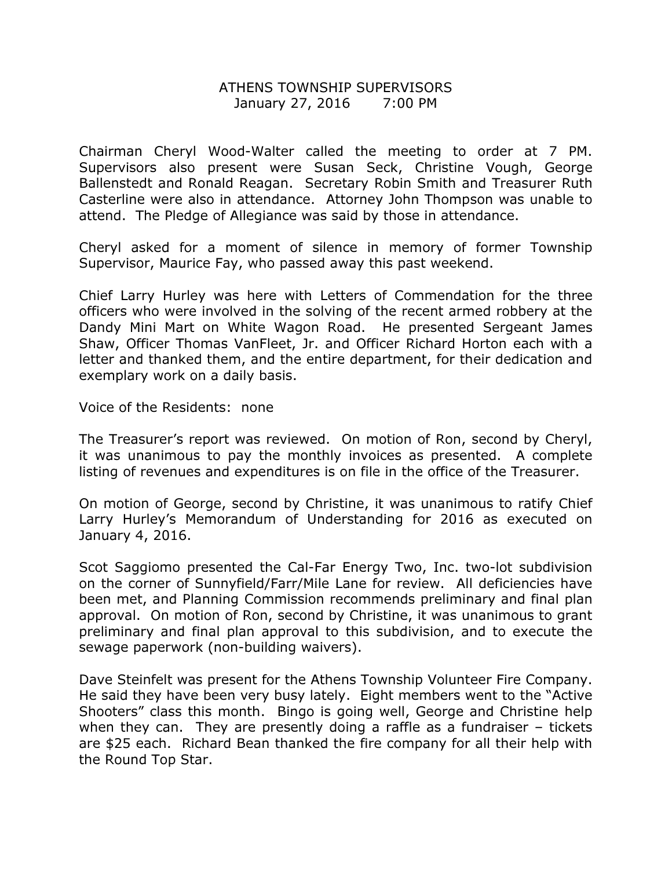## ATHENS TOWNSHIP SUPERVISORS January 27, 2016 7:00 PM

Chairman Cheryl Wood-Walter called the meeting to order at 7 PM. Supervisors also present were Susan Seck, Christine Vough, George Ballenstedt and Ronald Reagan. Secretary Robin Smith and Treasurer Ruth Casterline were also in attendance. Attorney John Thompson was unable to attend. The Pledge of Allegiance was said by those in attendance.

Cheryl asked for a moment of silence in memory of former Township Supervisor, Maurice Fay, who passed away this past weekend.

Chief Larry Hurley was here with Letters of Commendation for the three officers who were involved in the solving of the recent armed robbery at the Dandy Mini Mart on White Wagon Road. He presented Sergeant James Shaw, Officer Thomas VanFleet, Jr. and Officer Richard Horton each with a letter and thanked them, and the entire department, for their dedication and exemplary work on a daily basis.

Voice of the Residents: none

The Treasurer's report was reviewed. On motion of Ron, second by Cheryl, it was unanimous to pay the monthly invoices as presented. A complete listing of revenues and expenditures is on file in the office of the Treasurer.

On motion of George, second by Christine, it was unanimous to ratify Chief Larry Hurley's Memorandum of Understanding for 2016 as executed on January 4, 2016.

Scot Saggiomo presented the Cal-Far Energy Two, Inc. two-lot subdivision on the corner of Sunnyfield/Farr/Mile Lane for review. All deficiencies have been met, and Planning Commission recommends preliminary and final plan approval. On motion of Ron, second by Christine, it was unanimous to grant preliminary and final plan approval to this subdivision, and to execute the sewage paperwork (non-building waivers).

Dave Steinfelt was present for the Athens Township Volunteer Fire Company. He said they have been very busy lately. Eight members went to the "Active Shooters" class this month. Bingo is going well, George and Christine help when they can. They are presently doing a raffle as a fundraiser – tickets are \$25 each. Richard Bean thanked the fire company for all their help with the Round Top Star.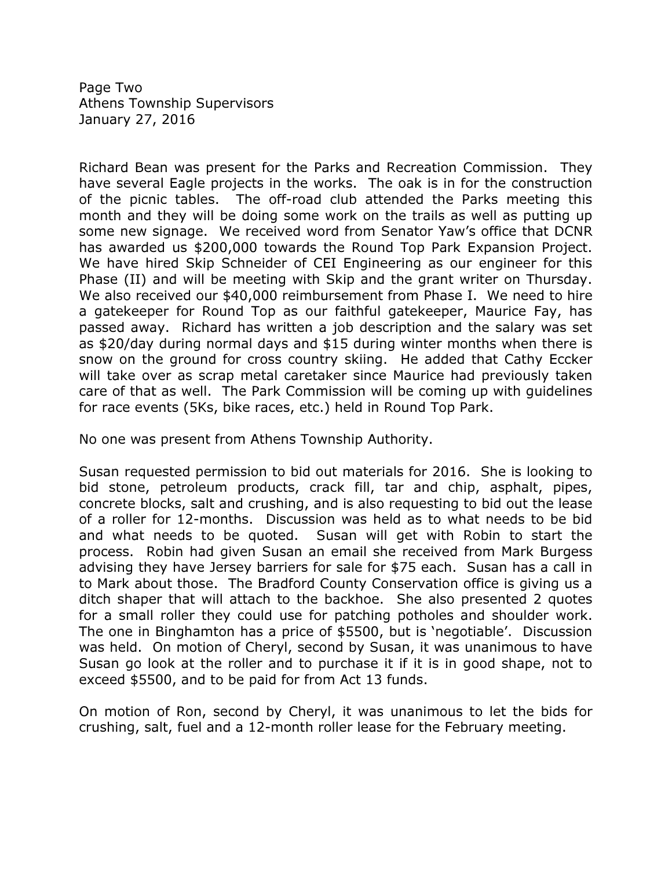Page Two Athens Township Supervisors January 27, 2016

Richard Bean was present for the Parks and Recreation Commission. They have several Eagle projects in the works. The oak is in for the construction of the picnic tables. The off-road club attended the Parks meeting this month and they will be doing some work on the trails as well as putting up some new signage. We received word from Senator Yaw's office that DCNR has awarded us \$200,000 towards the Round Top Park Expansion Project. We have hired Skip Schneider of CEI Engineering as our engineer for this Phase (II) and will be meeting with Skip and the grant writer on Thursday. We also received our \$40,000 reimbursement from Phase I. We need to hire a gatekeeper for Round Top as our faithful gatekeeper, Maurice Fay, has passed away. Richard has written a job description and the salary was set as \$20/day during normal days and \$15 during winter months when there is snow on the ground for cross country skiing. He added that Cathy Eccker will take over as scrap metal caretaker since Maurice had previously taken care of that as well. The Park Commission will be coming up with guidelines for race events (5Ks, bike races, etc.) held in Round Top Park.

No one was present from Athens Township Authority.

Susan requested permission to bid out materials for 2016. She is looking to bid stone, petroleum products, crack fill, tar and chip, asphalt, pipes, concrete blocks, salt and crushing, and is also requesting to bid out the lease of a roller for 12-months. Discussion was held as to what needs to be bid and what needs to be quoted. Susan will get with Robin to start the process. Robin had given Susan an email she received from Mark Burgess advising they have Jersey barriers for sale for \$75 each. Susan has a call in to Mark about those. The Bradford County Conservation office is giving us a ditch shaper that will attach to the backhoe. She also presented 2 quotes for a small roller they could use for patching potholes and shoulder work. The one in Binghamton has a price of \$5500, but is 'negotiable'. Discussion was held. On motion of Cheryl, second by Susan, it was unanimous to have Susan go look at the roller and to purchase it if it is in good shape, not to exceed \$5500, and to be paid for from Act 13 funds.

On motion of Ron, second by Cheryl, it was unanimous to let the bids for crushing, salt, fuel and a 12-month roller lease for the February meeting.